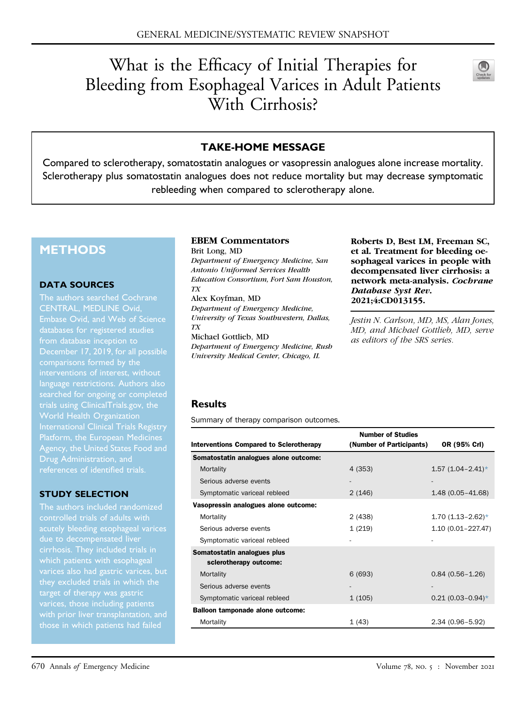# What is the Efficacy of Initial Therapies for Bleeding from Esophageal Varices in Adult Patients With Cirrhosis?



## TAKE-HOME MESSAGE

Compared to sclerotherapy, somatostatin analogues or vasopressin analogues alone increase mortality. Sclerotherapy plus somatostatin analogues does not reduce mortality but may decrease symptomatic rebleeding when compared to sclerotherapy alone.

# **METHODS**

#### DATA SOURCES

The authors searched Cochrane CENTRAL, MEDLINE Ovid, databases for registered studies from database inception to interventions of interest, without language restrictions. Authors also searched for ongoing or completed trials using [ClinicalTrials.gov](http://ClinicalTrials.gov), the World Health Organization International Clinical Trials Registry Agency, the United States Food and Drug Administration, and

#### STUDY SELECTION

The authors included randomized acutely bleeding esophageal varices which patients with esophageal varices also had gastric varices, but target of therapy was gastric varices, those including patients those in which patients had failed

## EBEM Commentators

Brit Long, MD Department of Emergency Medicine, San Antonio Uniformed Services Health Education Consortium, Fort Sam Houston, TX

Alex Koyfman, MD Department of Emergency Medicine, University of Texas Southwestern, Dallas, TX

Michael Gottlieb, MD Department of Emergency Medicine, Rush University Medical Center, Chicago, IL

Roberts D, Best LM, Freeman SC, et al. Treatment for bleeding oesophageal varices in people with decompensated liver cirrhosis: a network meta-analysis. Cochrane Database Syst Rev. 2021;4:CD013155.

Jestin N. Carlson, MD, MS, Alan Jones, MD, and Michael Gottlieb, MD, serve as editors of the SRS series.

#### Results

<span id="page-0-0"></span>Summary of therapy comparison outcomes.

|                                                       | <b>Number of Studies</b> |                          |
|-------------------------------------------------------|--------------------------|--------------------------|
| <b>Interventions Compared to Sclerotherapy</b>        | (Number of Participants) | OR (95% Crl)             |
| Somatostatin analogues alone outcome:                 |                          |                          |
| Mortality                                             | 4 (353)                  | $1.57$ $(1.04 - 2.41)^*$ |
| Serious adverse events                                |                          |                          |
| Symptomatic variceal rebleed                          | 2(146)                   | $1.48(0.05 - 41.68)$     |
| Vasopressin analogues alone outcome:                  |                          |                          |
| Mortality                                             | 2(438)                   | $1.70(1.13 - 2.62)^{*}$  |
| Serious adverse events                                | 1(219)                   | $1.10(0.01 - 227.47)$    |
| Symptomatic variceal rebleed                          |                          |                          |
| Somatostatin analogues plus<br>sclerotherapy outcome: |                          |                          |
| Mortality                                             | 6(693)                   | $0.84(0.56 - 1.26)$      |
| Serious adverse events                                |                          |                          |
| Symptomatic variceal rebleed                          | 1(105)                   | $0.21 (0.03 - 0.94)$ *   |
| <b>Balloon tamponade alone outcome:</b>               |                          |                          |
| Mortality                                             | 1(43)                    | $2.34(0.96 - 5.92)$      |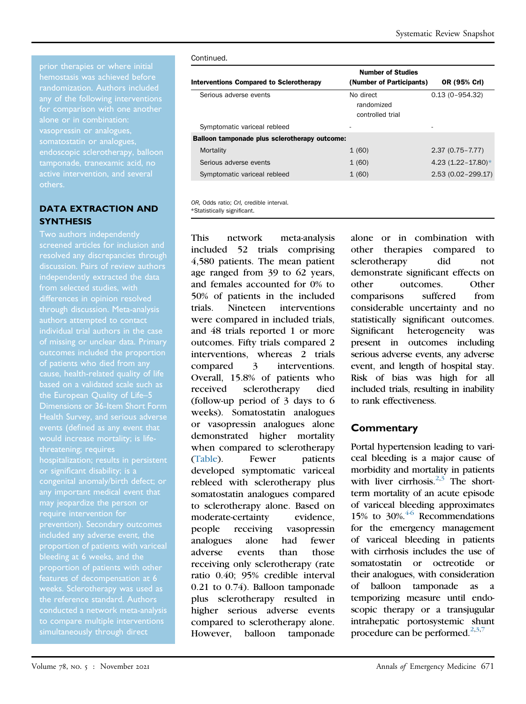any of the following interventions for comparison with one another alone or in combination: vasopressin or analogues, somatostatin or analogues, endoscopic sclerotherapy, balloon tamponade, tranexamic acid, no others.

#### DATA EXTRACTION AND **SYNTHESIS**

screened articles for inclusion and resolved any discrepancies through differences in opinion resolved through discussion. Meta-analysis individual trial authors in the case of missing or unclear data. Primary of patients who died from any based on a validated scale such as the European Quality of Life–5 Dimensions or 36-Item Short Form would increase mortality; is lifethreatening; requires or significant disability; is a congenital anomaly/birth defect; or may jeopardize the person or require intervention for bleeding at 6 weeks, and the features of decompensation at 6 weeks. Sclerotherapy was used as the reference standard. Authors simultaneously through direct

#### Continued.

| <b>Interventions Compared to Sclerotherapy</b> | <b>Number of Studies</b><br>(Number of Participants) | OR (95% Crl)            |
|------------------------------------------------|------------------------------------------------------|-------------------------|
| Serious adverse events                         | No direct<br>randomized<br>controlled trial          | $0.13(0 - 954.32)$      |
| Symptomatic variceal rebleed                   |                                                      | ۰                       |
| Balloon tamponade plus sclerotherapy outcome:  |                                                      |                         |
| Mortality                                      | 1(60)                                                | $2.37(0.75 - 7.77)$     |
| Serious adverse events                         | 1(60)                                                | 4.23 $(1.22 - 17.80)$ * |
| Symptomatic variceal rebleed                   | 1(60)                                                | $2.53(0.02 - 299.17)$   |
|                                                |                                                      |                         |

<span id="page-1-0"></span>OR, Odds ratio; CrI, credible interval. \*Statistically significant.

This network meta-analysis included 52 trials comprising 4,580 patients. The mean patient age ranged from 39 to 62 years, and females accounted for 0% to 50% of patients in the included trials. Nineteen interventions were compared in included trials, and 48 trials reported 1 or more outcomes. Fifty trials compared 2 interventions, whereas 2 trials compared 3 interventions. Overall, 15.8% of patients who received sclerotherapy died (follow-up period of 3 days to 6 weeks). Somatostatin analogues or vasopressin analogues alone demonstrated higher mortality when compared to sclerotherapy ([Table\)](#page-0-0). Fewer patients developed symptomatic variceal rebleed with sclerotherapy plus somatostatin analogues compared to sclerotherapy alone. Based on moderate-certainty evidence, people receiving vasopressin analogues alone had fewer adverse events than those receiving only sclerotherapy (rate ratio 0.40; 95% credible interval 0.21 to 0.74). Balloon tamponade plus sclerotherapy resulted in higher serious adverse events compared to sclerotherapy alone. However, balloon tamponade

alone or in combination with other therapies compared to sclerotherapy did not demonstrate significant effects on other outcomes. Other comparisons suffered from considerable uncertainty and no statistically significant outcomes. Significant heterogeneity was present in outcomes including serious adverse events, any adverse event, and length of hospital stay. Risk of bias was high for all included trials, resulting in inability to rank effectiveness.

## **Commentary**

Portal hypertension leading to variceal bleeding is a major cause of morbidity and mortality in patients with liver cirrhosis. $2,3$  $2,3$  The shortterm mortality of an acute episode of variceal bleeding approximates 15% to  $30\%$ .<sup>[4-6](#page-2-2)</sup> Recommendations for the emergency management of variceal bleeding in patients with cirrhosis includes the use of somatostatin or octreotide or their analogues, with consideration of balloon tamponade as a temporizing measure until endoscopic therapy or a transjugular intrahepatic portosystemic shunt procedure can be performed.<sup>2[,3](#page-2-1)[,7](#page-2-3)</sup>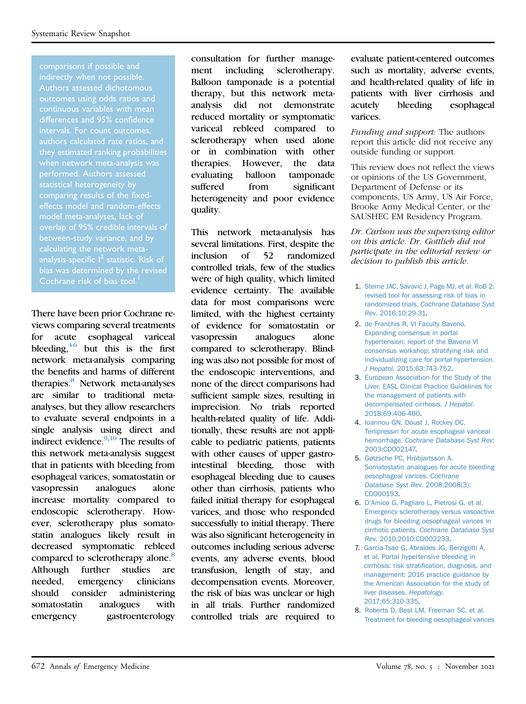Authors assessed dichotomous outcomes using odds ratios and continuous variables with mean differences and 95% confidence intervals. For count outcomes, authors calculated rate ratios, and they estimated ranking probabilities when network meta-analysis was performed. Authors assessed statistical heterogeneity by comparing results of the fixedmodel meta-analyses, lack of between-study variance, and by Cochrane risk of bias tool.<sup>[1](#page-2-7)</sup>

There have been prior Cochrane reviews comparing several treatments for acute esophageal variceal bleeding,  $46$  but this is the first network meta-analysis comparing the benefits and harms of different therapies.<sup>8</sup> Network meta-analyses are similar to traditional metaanalyses, but they allow researchers to evaluate several endpoints in a single analysis using direct and indirect evidence. $9,10$  $9,10$  The results of this network meta-analysis suggest that in patients with bleeding from esophageal varices, somatostatin or vasopressin analogues alone increase mortality compared to endoscopic sclerotherapy. However, sclerotherapy plus somatostatin analogues likely result in decreased symptomatic rebleed compared to sclerotherapy alone.<sup>8</sup> Although further studies are needed, emergency clinicians should consider administering somatostatin analogues with emergency gastroenterology

consultation for further management including sclerotherapy. Balloon tamponade is a potential therapy, but this network metaanalysis did not demonstrate reduced mortality or symptomatic variceal rebleed compared to sclerotherapy when used alone or in combination with other therapies. However, the data evaluating balloon tamponade suffered from significant heterogeneity and poor evidence quality.

This network meta-analysis has several limitations. First, despite the inclusion of 52 randomized controlled trials, few of the studies were of high quality, which limited evidence certainty. The available data for most comparisons were limited, with the highest certainty of evidence for somatostatin or vasopressin analogues alone compared to sclerotherapy. Blinding was also not possible for most of the endoscopic interventions, and none of the direct comparisons had sufficient sample sizes, resulting in imprecision. No trials reported health-related quality of life. Additionally, these results are not applicable to pediatric patients, patients with other causes of upper gastrointestinal bleeding, those with esophageal bleeding due to causes other than cirrhosis, patients who failed initial therapy for esophageal varices, and those who responded successfully to initial therapy. There was also significant heterogeneity in outcomes including serious adverse events, any adverse events, blood transfusion, length of stay, and decompensation events. Moreover, the risk of bias was unclear or high in all trials. Further randomized controlled trials are required to

evaluate patient-centered outcomes such as mortality, adverse events, and health-related quality of life in patients with liver cirrhosis and acutely bleeding esophageal varices.

Funding and support: The authors report this article did not receive any outside funding or support.

This review does not reflect the views or opinions of the US Government, Department of Defense or its components, US Army, US Air Force, Brooke Army Medical Center, or the SAUSHEC EM Residency Program.

Dr. Carlson was the supervising editor on this article. Dr. Gottlieb did not participate in the editorial review or decision to publish this article.

- <span id="page-2-7"></span>1. [Sterne JAC, Savovi](http://refhub.elsevier.com/S0196-0644(21)00423-6/sref1)ć [J, Page MJ, et al. RoB 2:](http://refhub.elsevier.com/S0196-0644(21)00423-6/sref1) [revised tool for assessing risk of bias in](http://refhub.elsevier.com/S0196-0644(21)00423-6/sref1) randomized trials. [Cochrane Database Syst](http://refhub.elsevier.com/S0196-0644(21)00423-6/sref1) Rev[. 2016;10:29-31.](http://refhub.elsevier.com/S0196-0644(21)00423-6/sref1)
- <span id="page-2-0"></span>2. [de Franchis R, VI Faculty Baveno.](http://refhub.elsevier.com/S0196-0644(21)00423-6/sref2) [Expanding consensus in portal](http://refhub.elsevier.com/S0196-0644(21)00423-6/sref2) [hypertension: report of the Baveno VI](http://refhub.elsevier.com/S0196-0644(21)00423-6/sref2) [consensus workshop: stratifying risk and](http://refhub.elsevier.com/S0196-0644(21)00423-6/sref2) [individualizing care for portal hypertension.](http://refhub.elsevier.com/S0196-0644(21)00423-6/sref2) J Hepatol[. 2015;63:743-752](http://refhub.elsevier.com/S0196-0644(21)00423-6/sref2).
- <span id="page-2-1"></span>3. [European Association for the Study of the](http://refhub.elsevier.com/S0196-0644(21)00423-6/sref3) [Liver. EASL Clinical Practice Guidelines for](http://refhub.elsevier.com/S0196-0644(21)00423-6/sref3) [the management of patients with](http://refhub.elsevier.com/S0196-0644(21)00423-6/sref3) [decompensated cirrhosis.](http://refhub.elsevier.com/S0196-0644(21)00423-6/sref3) J Hepatol. [2018;69:406-460](http://refhub.elsevier.com/S0196-0644(21)00423-6/sref3).
- <span id="page-2-2"></span>4. [Ioannou GN, Doust J, Rockey DC.](http://refhub.elsevier.com/S0196-0644(21)00423-6/sref4) [Terlipressin for acute esophageal variceal](http://refhub.elsevier.com/S0196-0644(21)00423-6/sref4) hemorrhage. [Cochrane Database Syst Rev](http://refhub.elsevier.com/S0196-0644(21)00423-6/sref4); [2003:CD002147.](http://refhub.elsevier.com/S0196-0644(21)00423-6/sref4)
- 5. [Gøtzsche PC, Hróbjartsson A.](http://refhub.elsevier.com/S0196-0644(21)00423-6/sref5) [Somatostatin analogues for acute bleeding](http://refhub.elsevier.com/S0196-0644(21)00423-6/sref5) [oesophageal varices.](http://refhub.elsevier.com/S0196-0644(21)00423-6/sref5) Cochrane [Database Syst Rev](http://refhub.elsevier.com/S0196-0644(21)00423-6/sref5). 2008;2008(3): [CD000193.](http://refhub.elsevier.com/S0196-0644(21)00423-6/sref5)
- 6. D'[Amico G, Pagliaro L, Pietrosi G, et al.](http://refhub.elsevier.com/S0196-0644(21)00423-6/sref6) [Emergency sclerotherapy versus vasoactive](http://refhub.elsevier.com/S0196-0644(21)00423-6/sref6) [drugs for bleeding oesophageal varices in](http://refhub.elsevier.com/S0196-0644(21)00423-6/sref6) cirrhotic patients. [Cochrane Database Syst](http://refhub.elsevier.com/S0196-0644(21)00423-6/sref6) Rev[. 2010;2010:CD002233.](http://refhub.elsevier.com/S0196-0644(21)00423-6/sref6)
- <span id="page-2-3"></span>7. [Garcia-Tsao G, Abraldes JG, Berzigotti A,](http://refhub.elsevier.com/S0196-0644(21)00423-6/sref7) [et al. Portal hypertensive bleeding in](http://refhub.elsevier.com/S0196-0644(21)00423-6/sref7) cirrhosis: risk stratifi[cation, diagnosis, and](http://refhub.elsevier.com/S0196-0644(21)00423-6/sref7) [management: 2016 practice guidance by](http://refhub.elsevier.com/S0196-0644(21)00423-6/sref7) [the American Association for the study of](http://refhub.elsevier.com/S0196-0644(21)00423-6/sref7) [liver diseases.](http://refhub.elsevier.com/S0196-0644(21)00423-6/sref7) Hepatology. [2017;65:310-335](http://refhub.elsevier.com/S0196-0644(21)00423-6/sref7).
- <span id="page-2-6"></span><span id="page-2-5"></span><span id="page-2-4"></span>8. [Roberts D, Best LM, Freeman SC, et al.](http://refhub.elsevier.com/S0196-0644(21)00423-6/sref8) [Treatment for bleeding oesophageal varices](http://refhub.elsevier.com/S0196-0644(21)00423-6/sref8)